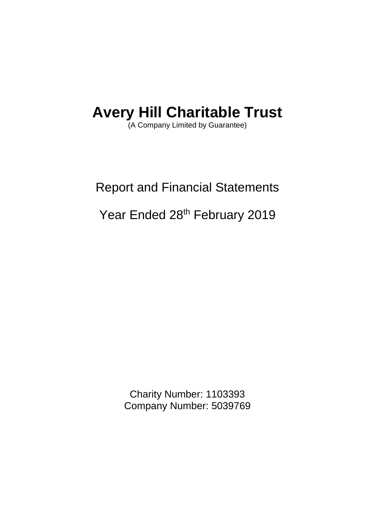(A Company Limited by Guarantee)

## Report and Financial Statements

## Year Ended 28<sup>th</sup> February 2019

Charity Number: 1103393 Company Number: 5039769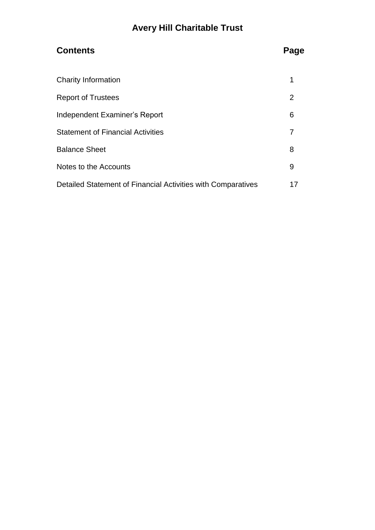## **Contents Page**

| <b>Charity Information</b>                                   |    |
|--------------------------------------------------------------|----|
| <b>Report of Trustees</b>                                    | 2  |
| Independent Examiner's Report                                | 6  |
| <b>Statement of Financial Activities</b>                     |    |
| <b>Balance Sheet</b>                                         | 8  |
| Notes to the Accounts                                        | 9  |
| Detailed Statement of Financial Activities with Comparatives | 17 |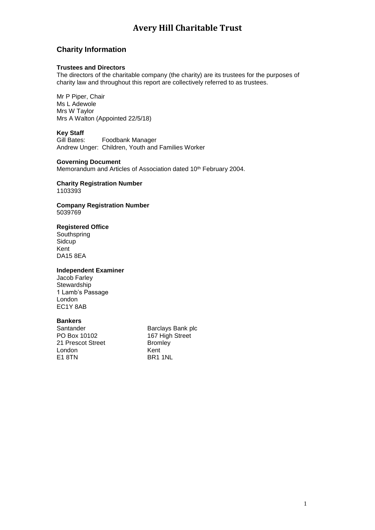### **Charity Information**

#### **Trustees and Directors**

The directors of the charitable company (the charity) are its trustees for the purposes of charity law and throughout this report are collectively referred to as trustees.

Mr P Piper, Chair Ms L Adewole Mrs W Taylor Mrs A Walton (Appointed 22/5/18)

#### **Key Staff**

Gill Bates: Foodbank Manager Andrew Unger: Children, Youth and Families Worker

#### **Governing Document**

Memorandum and Articles of Association dated 10<sup>th</sup> February 2004.

#### **Charity Registration Number** 1103393

#### **Company Registration Number** 5039769

#### **Registered Office**

Southspring **Sidcup** Kent DA15 8EA

#### **Independent Examiner**

Jacob Farley **Stewardship** 1 Lamb's Passage London EC1Y 8AB

#### **Bankers**

21 Prescot Street London Kent<br>E1 8TN BR1

Santander Barclays Bank plc<br>
PO Box 10102 167 High Street 167 High Street<br>Bromlev BR1 1NL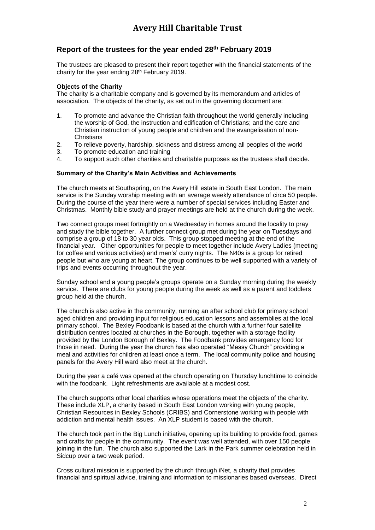### **Report of the trustees for the year ended 28 th February 2019**

The trustees are pleased to present their report together with the financial statements of the charity for the year ending 28<sup>th</sup> February 2019.

#### **Objects of the Charity**

The charity is a charitable company and is governed by its memorandum and articles of association. The objects of the charity, as set out in the governing document are:

- 1. To promote and advance the Christian faith throughout the world generally including the worship of God, the instruction and edification of Christians; and the care and Christian instruction of young people and children and the evangelisation of non-**Christians**
- 2. To relieve poverty, hardship, sickness and distress among all peoples of the world<br>3. To promote education and training
- To promote education and training
- 4. To support such other charities and charitable purposes as the trustees shall decide.

#### **Summary of the Charity's Main Activities and Achievements**

The church meets at Southspring, on the Avery Hill estate in South East London. The main service is the Sunday worship meeting with an average weekly attendance of circa 50 people. During the course of the year there were a number of special services including Easter and Christmas. Monthly bible study and prayer meetings are held at the church during the week.

Two connect groups meet fortnightly on a Wednesday in homes around the locality to pray and study the bible together. A further connect group met during the year on Tuesdays and comprise a group of 18 to 30 year olds. This group stopped meeting at the end of the financial year. Other opportunities for people to meet together include Avery Ladies (meeting for coffee and various activities) and men's' curry nights. The N40s is a group for retired people but who are young at heart. The group continues to be well supported with a variety of trips and events occurring throughout the year.

Sunday school and a young people's groups operate on a Sunday morning during the weekly service. There are clubs for young people during the week as well as a parent and toddlers group held at the church.

The church is also active in the community, running an after school club for primary school aged children and providing input for religious education lessons and assemblies at the local primary school. The Bexley Foodbank is based at the church with a further four satellite distribution centres located at churches in the Borough, together with a storage facility provided by the London Borough of Bexley. The Foodbank provides emergency food for those in need. During the year the church has also operated "Messy Church" providing a meal and activities for children at least once a term. The local community police and housing panels for the Avery Hill ward also meet at the church.

During the year a café was opened at the church operating on Thursday lunchtime to coincide with the foodbank. Light refreshments are available at a modest cost.

The church supports other local charities whose operations meet the objects of the charity. These include XLP, a charity based in South East London working with young people, Christian Resources in Bexley Schools (CRIBS) and Cornerstone working with people with addiction and mental health issues. An XLP student is based with the church.

The church took part in the Big Lunch initiative, opening up its building to provide food, games and crafts for people in the community. The event was well attended, with over 150 people joining in the fun. The church also supported the Lark in the Park summer celebration held in Sidcup over a two week period.

Cross cultural mission is supported by the church through iNet, a charity that provides financial and spiritual advice, training and information to missionaries based overseas. Direct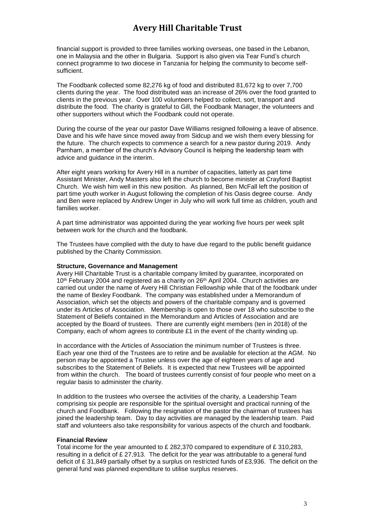financial support is provided to three families working overseas, one based in the Lebanon, one in Malaysia and the other in Bulgaria. Support is also given via Tear Fund's church connect programme to two diocese in Tanzania for helping the community to become selfsufficient.

The Foodbank collected some 82,276 kg of food and distributed 81,672 kg to over 7,700 clients during the year. The food distributed was an increase of 26% over the food granted to clients in the previous year. Over 100 volunteers helped to collect, sort, transport and distribute the food. The charity is grateful to Gill, the Foodbank Manager, the volunteers and other supporters without which the Foodbank could not operate.

During the course of the year our pastor Dave Williams resigned following a leave of absence. Dave and his wife have since moved away from Sidcup and we wish them every blessing for the future. The church expects to commence a search for a new pastor during 2019. Andy Parnham, a member of the church's Advisory Council is helping the leadership team with advice and guidance in the interim.

After eight years working for Avery Hill in a number of capacities, latterly as part time Assistant Minister, Andy Masters also left the church to become minister at Crayford Baptist Church. We wish him well in this new position. As planned, Ben McFall left the position of part time youth worker in August following the completion of his Oasis degree course. Andy and Ben were replaced by Andrew Unger in July who will work full time as children, youth and families worker.

A part time administrator was appointed during the year working five hours per week split between work for the church and the foodbank.

The Trustees have complied with the duty to have due regard to the public benefit guidance published by the Charity Commission.

#### **Structure, Governance and Management**

Avery Hill Charitable Trust is a charitable company limited by guarantee, incorporated on 10<sup>th</sup> February 2004 and registered as a charity on 26<sup>th</sup> April 2004. Church activities are carried out under the name of Avery Hill Christian Fellowship while that of the foodbank under the name of Bexley Foodbank. The company was established under a Memorandum of Association, which set the objects and powers of the charitable company and is governed under its Articles of Association. Membership is open to those over 18 who subscribe to the Statement of Beliefs contained in the Memorandum and Articles of Association and are accepted by the Board of trustees. There are currently eight members (ten in 2018) of the Company, each of whom agrees to contribute  $£1$  in the event of the charity winding up.

In accordance with the Articles of Association the minimum number of Trustees is three. Each year one third of the Trustees are to retire and be available for election at the AGM. No person may be appointed a Trustee unless over the age of eighteen years of age and subscribes to the Statement of Beliefs. It is expected that new Trustees will be appointed from within the church. The board of trustees currently consist of four people who meet on a regular basis to administer the charity.

In addition to the trustees who oversee the activities of the charity, a Leadership Team comprising six people are responsible for the spiritual oversight and practical running of the church and Foodbank. Following the resignation of the pastor the chairman of trustees has joined the leadership team. Day to day activities are managed by the leadership team. Paid staff and volunteers also take responsibility for various aspects of the church and foodbank.

#### **Financial Review**

Total income for the year amounted to £ 282,370 compared to expenditure of £ 310,283, resulting in a deficit of £ 27,913. The deficit for the year was attributable to a general fund deficit of £ 31,849 partially offset by a surplus on restricted funds of £3,936. The deficit on the general fund was planned expenditure to utilise surplus reserves.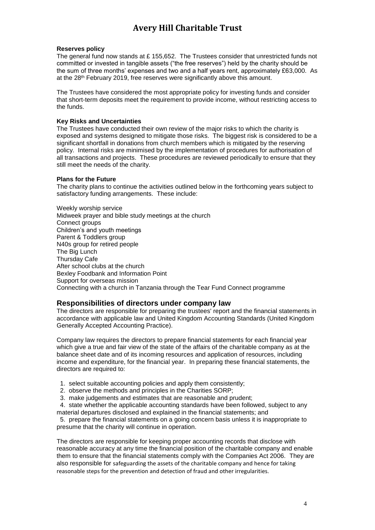#### **Reserves policy**

The general fund now stands at £ 155,652. The Trustees consider that unrestricted funds not committed or invested in tangible assets ("the free reserves") held by the charity should be the sum of three months' expenses and two and a half years rent, approximately £63,000. As at the 28<sup>th</sup> February 2019, free reserves were significantly above this amount.

The Trustees have considered the most appropriate policy for investing funds and consider that short-term deposits meet the requirement to provide income, without restricting access to the funds.

#### **Key Risks and Uncertainties**

The Trustees have conducted their own review of the major risks to which the charity is exposed and systems designed to mitigate those risks. The biggest risk is considered to be a significant shortfall in donations from church members which is mitigated by the reserving policy. Internal risks are minimised by the implementation of procedures for authorisation of all transactions and projects. These procedures are reviewed periodically to ensure that they still meet the needs of the charity.

#### **Plans for the Future**

The charity plans to continue the activities outlined below in the forthcoming years subject to satisfactory funding arrangements. These include:

Weekly worship service Midweek prayer and bible study meetings at the church Connect groups Children's and youth meetings Parent & Toddlers group N40s group for retired people The Big Lunch Thursday Cafe After school clubs at the church Bexley Foodbank and Information Point Support for overseas mission Connecting with a church in Tanzania through the Tear Fund Connect programme

#### **Responsibilities of directors under company law**

The directors are responsible for preparing the trustees' report and the financial statements in accordance with applicable law and United Kingdom Accounting Standards (United Kingdom Generally Accepted Accounting Practice).

Company law requires the directors to prepare financial statements for each financial year which give a true and fair view of the state of the affairs of the charitable company as at the balance sheet date and of its incoming resources and application of resources, including income and expenditure, for the financial year. In preparing these financial statements, the directors are required to:

- 1. select suitable accounting policies and apply them consistently;
- 2. observe the methods and principles in the Charities SORP;
- 3. make judgements and estimates that are reasonable and prudent;

4. state whether the applicable accounting standards have been followed, subject to any material departures disclosed and explained in the financial statements; and

5. prepare the financial statements on a going concern basis unless it is inappropriate to presume that the charity will continue in operation.

The directors are responsible for keeping proper accounting records that disclose with reasonable accuracy at any time the financial position of the charitable company and enable them to ensure that the financial statements comply with the Companies Act 2006. They are also responsible for safeguarding the assets of the charitable company and hence for taking reasonable steps for the prevention and detection of fraud and other irregularities.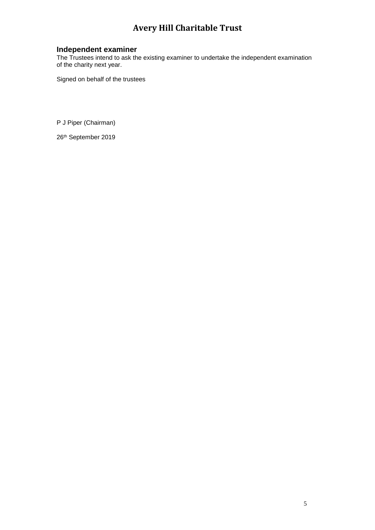#### **Independent examiner**

The Trustees intend to ask the existing examiner to undertake the independent examination of the charity next year.

Signed on behalf of the trustees

P J Piper (Chairman)

26th September 2019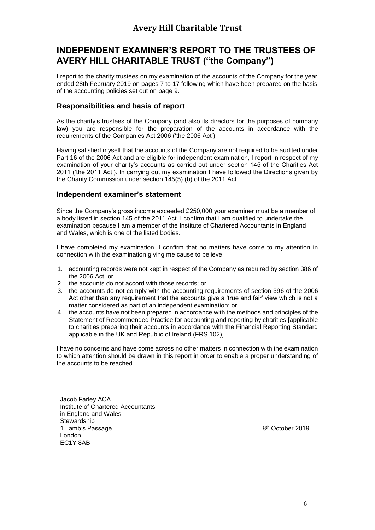### **INDEPENDENT EXAMINER'S REPORT TO THE TRUSTEES OF AVERY HILL CHARITABLE TRUST ("the Company")**

I report to the charity trustees on my examination of the accounts of the Company for the year ended 28th February 2019 on pages 7 to 17 following which have been prepared on the basis of the accounting policies set out on page 9.

#### **Responsibilities and basis of report**

As the charity's trustees of the Company (and also its directors for the purposes of company law) you are responsible for the preparation of the accounts in accordance with the requirements of the Companies Act 2006 ('the 2006 Act').

Having satisfied myself that the accounts of the Company are not required to be audited under Part 16 of the 2006 Act and are eligible for independent examination, I report in respect of my examination of your charity's accounts as carried out under section 145 of the Charities Act 2011 ('the 2011 Act'). In carrying out my examination I have followed the Directions given by the Charity Commission under section 145(5) (b) of the 2011 Act.

#### **Independent examiner's statement**

Since the Company's gross income exceeded £250,000 your examiner must be a member of a body listed in section 145 of the 2011 Act. I confirm that I am qualified to undertake the examination because I am a member of the Institute of Chartered Accountants in England and Wales, which is one of the listed bodies.

I have completed my examination. I confirm that no matters have come to my attention in connection with the examination giving me cause to believe:

- 1. accounting records were not kept in respect of the Company as required by section 386 of the 2006 Act; or
- 2. the accounts do not accord with those records; or
- 3. the accounts do not comply with the accounting requirements of section 396 of the 2006 Act other than any requirement that the accounts give a 'true and fair' view which is not a matter considered as part of an independent examination; or
- 4. the accounts have not been prepared in accordance with the methods and principles of the Statement of Recommended Practice for accounting and reporting by charities [applicable to charities preparing their accounts in accordance with the Financial Reporting Standard applicable in the UK and Republic of Ireland (FRS 102)].

I have no concerns and have come across no other matters in connection with the examination to which attention should be drawn in this report in order to enable a proper understanding of the accounts to be reached.

Jacob Farley ACA Institute of Chartered Accountants in England and Wales **Stewardship** 1 Lamb's Passage London EC1Y 8AB

8 th October 2019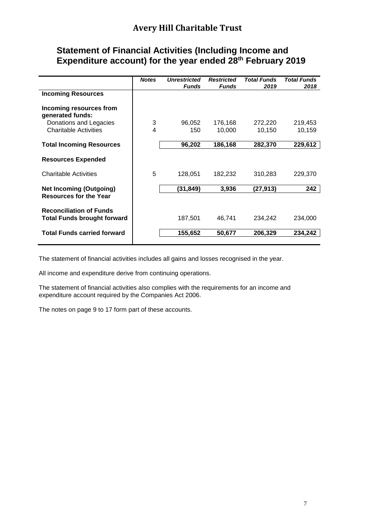### **Statement of Financial Activities (Including Income and Expenditure account) for the year ended 28 th February 2019**

|                                                                      | <b>Notes</b> | <b>Unrestricted</b><br><b>Funds</b> | <b>Restricted</b><br><b>Funds</b> | <b>Total Funds</b><br>2019 | <b>Total Funds</b><br>2018 |
|----------------------------------------------------------------------|--------------|-------------------------------------|-----------------------------------|----------------------------|----------------------------|
| <b>Incoming Resources</b>                                            |              |                                     |                                   |                            |                            |
| Incoming resources from<br>generated funds:                          |              |                                     |                                   |                            |                            |
| Donations and Legacies                                               | 3            | 96,052                              | 176,168                           | 272,220                    | 219,453                    |
| <b>Charitable Activities</b>                                         | 4            | 150                                 | 10,000                            | 10,150                     | 10,159                     |
| <b>Total Incoming Resources</b>                                      |              | 96,202                              | 186,168                           | 282,370                    | 229,612                    |
| <b>Resources Expended</b>                                            |              |                                     |                                   |                            |                            |
| <b>Charitable Activities</b>                                         | 5            | 128,051                             | 182,232                           | 310,283                    | 229,370                    |
| <b>Net Incoming (Outgoing)</b>                                       |              | (31,849)                            | 3,936                             | (27,913)                   | 242                        |
| <b>Resources for the Year</b>                                        |              |                                     |                                   |                            |                            |
| <b>Reconciliation of Funds</b><br><b>Total Funds brought forward</b> |              | 187,501                             | 46,741                            | 234,242                    | 234,000                    |
| <b>Total Funds carried forward</b>                                   |              | 155,652                             | 50,677                            | 206,329                    | 234.242                    |
|                                                                      |              |                                     |                                   |                            |                            |

The statement of financial activities includes all gains and losses recognised in the year.

All income and expenditure derive from continuing operations.

The statement of financial activities also complies with the requirements for an income and expenditure account required by the Companies Act 2006.

The notes on page 9 to 17 form part of these accounts.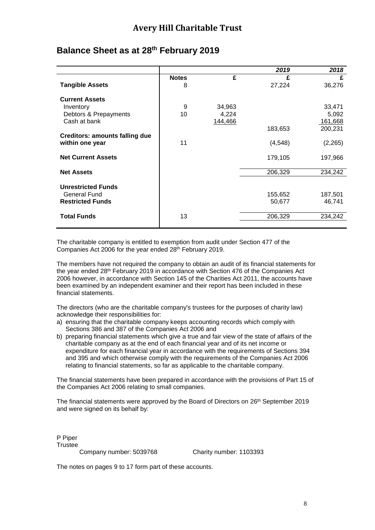|                                       |              |         | 2019     | 2018     |
|---------------------------------------|--------------|---------|----------|----------|
|                                       | <b>Notes</b> | £       | £        | £        |
| <b>Tangible Assets</b>                | 8            |         | 27,224   | 36,276   |
| <b>Current Assets</b>                 |              |         |          |          |
| Inventory                             | 9            | 34,963  |          | 33,471   |
| Debtors & Prepayments                 | 10           | 4,224   |          | 5,092    |
| Cash at bank                          |              | 144,466 |          | 161,668  |
|                                       |              |         | 183,653  | 200,231  |
| <b>Creditors: amounts falling due</b> |              |         |          |          |
| within one year                       | 11           |         | (4, 548) | (2, 265) |
| <b>Net Current Assets</b>             |              |         | 179,105  | 197,966  |
| <b>Net Assets</b>                     |              |         | 206,329  | 234,242  |
|                                       |              |         |          |          |
| <b>Unrestricted Funds</b>             |              |         |          |          |
| General Fund                          |              |         | 155,652  | 187,501  |
| <b>Restricted Funds</b>               |              |         | 50,677   | 46,741   |
| <b>Total Funds</b>                    | 13           |         | 206,329  | 234,242  |
|                                       |              |         |          |          |

### **Balance Sheet as at 28 th February 2019**

The charitable company is entitled to exemption from audit under Section 477 of the Companies Act 2006 for the year ended 28th February 2019.

The members have not required the company to obtain an audit of its financial statements for the year ended 28th February 2019 in accordance with Section 476 of the Companies Act 2006 however, in accordance with Section 145 of the Charities Act 2011, the accounts have been examined by an independent examiner and their report has been included in these financial statements.

The directors (who are the charitable company's trustees for the purposes of charity law) acknowledge their responsibilities for:

- a) ensuring that the charitable company keeps accounting records which comply with Sections 386 and 387 of the Companies Act 2006 and
- b) preparing financial statements which give a true and fair view of the state of affairs of the charitable company as at the end of each financial year and of its net income or expenditure for each financial year in accordance with the requirements of Sections 394 and 395 and which otherwise comply with the requirements of the Companies Act 2006 relating to financial statements, so far as applicable to the charitable company.

The financial statements have been prepared in accordance with the provisions of Part 15 of the Companies Act 2006 relating to small companies.

The financial statements were approved by the Board of Directors on 26<sup>th</sup> September 2019 and were signed on its behalf by:

P Piper **Trustee** 

Company number: 5039768 Charity number: 1103393

The notes on pages 9 to 17 form part of these accounts.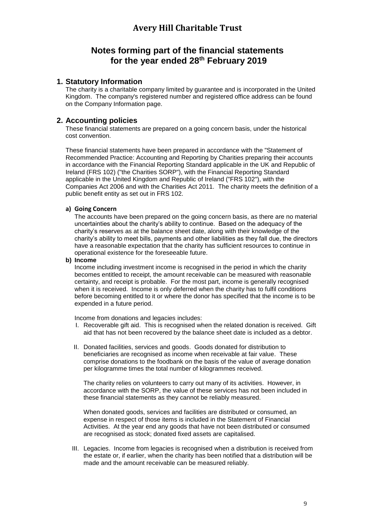### **Notes forming part of the financial statements for the year ended 28 th February 2019**

#### **1. Statutory Information**

The charity is a charitable company limited by guarantee and is incorporated in the United Kingdom. The company's registered number and registered office address can be found on the Company Information page.

#### **2. Accounting policies**

These financial statements are prepared on a going concern basis, under the historical cost convention.

These financial statements have been prepared in accordance with the "Statement of Recommended Practice: Accounting and Reporting by Charities preparing their accounts in accordance with the Financial Reporting Standard applicable in the UK and Republic of Ireland (FRS 102) ("the Charities SORP"), with the Financial Reporting Standard applicable in the United Kingdom and Republic of Ireland ("FRS 102"), with the Companies Act 2006 and with the Charities Act 2011. The charity meets the definition of a public benefit entity as set out in FRS 102.

#### **a) Going Concern**

The accounts have been prepared on the going concern basis, as there are no material uncertainties about the charity's ability to continue. Based on the adequacy of the charity's reserves as at the balance sheet date, along with their knowledge of the charity's ability to meet bills, payments and other liabilities as they fall due, the directors have a reasonable expectation that the charity has sufficient resources to continue in operational existence for the foreseeable future.

#### **b) Income**

Income including investment income is recognised in the period in which the charity becomes entitled to receipt, the amount receivable can be measured with reasonable certainty, and receipt is probable. For the most part, income is generally recognised when it is received. Income is only deferred when the charity has to fulfil conditions before becoming entitled to it or where the donor has specified that the income is to be expended in a future period.

Income from donations and legacies includes:

- I. Recoverable gift aid. This is recognised when the related donation is received. Gift aid that has not been recovered by the balance sheet date is included as a debtor.
- II. Donated facilities, services and goods. Goods donated for distribution to beneficiaries are recognised as income when receivable at fair value. These comprise donations to the foodbank on the basis of the value of average donation per kilogramme times the total number of kilogrammes received.

The charity relies on volunteers to carry out many of its activities. However, in accordance with the SORP, the value of these services has not been included in these financial statements as they cannot be reliably measured.

When donated goods, services and facilities are distributed or consumed, an expense in respect of those items is included in the Statement of Financial Activities. At the year end any goods that have not been distributed or consumed are recognised as stock; donated fixed assets are capitalised.

III. Legacies. Income from legacies is recognised when a distribution is received from the estate or, if earlier, when the charity has been notified that a distribution will be made and the amount receivable can be measured reliably.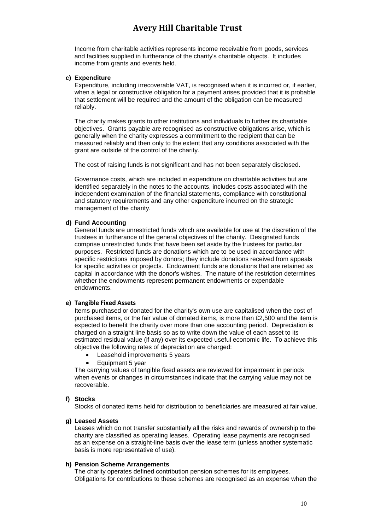Income from charitable activities represents income receivable from goods, services and facilities supplied in furtherance of the charity's charitable objects. It includes income from grants and events held.

#### **c) Expenditure**

Expenditure, including irrecoverable VAT, is recognised when it is incurred or, if earlier, when a legal or constructive obligation for a payment arises provided that it is probable that settlement will be required and the amount of the obligation can be measured reliably.

The charity makes grants to other institutions and individuals to further its charitable objectives. Grants payable are recognised as constructive obligations arise, which is generally when the charity expresses a commitment to the recipient that can be measured reliably and then only to the extent that any conditions associated with the grant are outside of the control of the charity.

The cost of raising funds is not significant and has not been separately disclosed.

Governance costs, which are included in expenditure on charitable activities but are identified separately in the notes to the accounts, includes costs associated with the independent examination of the financial statements, compliance with constitutional and statutory requirements and any other expenditure incurred on the strategic management of the charity.

#### **d) Fund Accounting**

General funds are unrestricted funds which are available for use at the discretion of the trustees in furtherance of the general objectives of the charity. Designated funds comprise unrestricted funds that have been set aside by the trustees for particular purposes. Restricted funds are donations which are to be used in accordance with specific restrictions imposed by donors; they include donations received from appeals for specific activities or projects. Endowment funds are donations that are retained as capital in accordance with the donor's wishes. The nature of the restriction determines whether the endowments represent permanent endowments or expendable endowments.

#### **e) Tangible Fixed Assets**

Items purchased or donated for the charity's own use are capitalised when the cost of purchased items, or the fair value of donated items, is more than £2,500 and the item is expected to benefit the charity over more than one accounting period. Depreciation is charged on a straight line basis so as to write down the value of each asset to its estimated residual value (if any) over its expected useful economic life. To achieve this objective the following rates of depreciation are charged:

- Leasehold improvements 5 years
- Equipment 5 year

The carrying values of tangible fixed assets are reviewed for impairment in periods when events or changes in circumstances indicate that the carrying value may not be recoverable.

#### **f) Stocks**

Stocks of donated items held for distribution to beneficiaries are measured at fair value.

#### **g) Leased Assets**

Leases which do not transfer substantially all the risks and rewards of ownership to the charity are classified as operating leases. Operating lease payments are recognised as an expense on a straight-line basis over the lease term (unless another systematic basis is more representative of use).

#### **h) Pension Scheme Arrangements**

The charity operates defined contribution pension schemes for its employees. Obligations for contributions to these schemes are recognised as an expense when the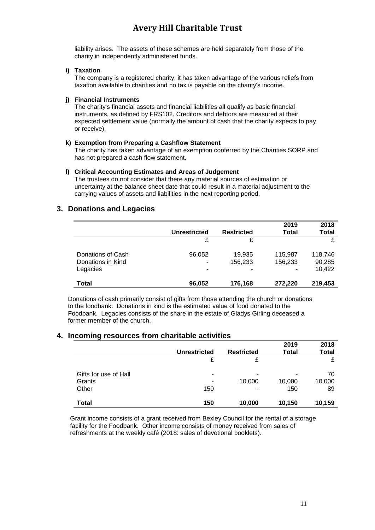liability arises. The assets of these schemes are held separately from those of the charity in independently administered funds.

#### **i) Taxation**

The company is a registered charity; it has taken advantage of the various reliefs from taxation available to charities and no tax is payable on the charity's income.

#### **j) Financial Instruments**

The charity's financial assets and financial liabilities all qualify as basic financial instruments, as defined by FRS102. Creditors and debtors are measured at their expected settlement value (normally the amount of cash that the charity expects to pay or receive).

#### **k) Exemption from Preparing a Cashflow Statement**

The charity has taken advantage of an exemption conferred by the Charities SORP and has not prepared a cash flow statement.

#### **l) Critical Accounting Estimates and Areas of Judgement**

The trustees do not consider that there any material sources of estimation or uncertainty at the balance sheet date that could result in a material adjustment to the carrying values of assets and liabilities in the next reporting period.

#### **3. Donations and Legacies**

|                                                    | <b>Unrestricted</b> | <b>Restricted</b>      | 2019<br><b>Total</b> | 2018<br>Total               |
|----------------------------------------------------|---------------------|------------------------|----------------------|-----------------------------|
|                                                    | £                   | £                      |                      | £                           |
| Donations of Cash<br>Donations in Kind<br>Legacies | 96,052<br>-         | 19,935<br>156,233<br>- | 115,987<br>156,233   | 118,746<br>90,285<br>10,422 |
| <b>Total</b>                                       | 96,052              | 176,168                | 272,220              | 219,453                     |

Donations of cash primarily consist of gifts from those attending the church or donations to the foodbank. Donations in kind is the estimated value of food donated to the Foodbank. Legacies consists of the share in the estate of Gladys Girling deceased a former member of the church.

#### **4. Incoming resources from charitable activities**

|                       |                     |                   | 2019         | 2018   |
|-----------------------|---------------------|-------------------|--------------|--------|
|                       | <b>Unrestricted</b> | <b>Restricted</b> | <b>Total</b> | Total  |
|                       | £                   | £                 |              | £      |
| Gifts for use of Hall | ۰                   | ٠                 |              | 70     |
| Grants                | -                   | 10,000            | 10,000       | 10,000 |
| Other                 | 150                 | ۰                 | 150          | 89     |
| <b>Total</b>          | 150                 | 10,000            | 10,150       | 10,159 |

Grant income consists of a grant received from Bexley Council for the rental of a storage facility for the Foodbank. Other income consists of money received from sales of refreshments at the weekly café (2018: sales of devotional booklets).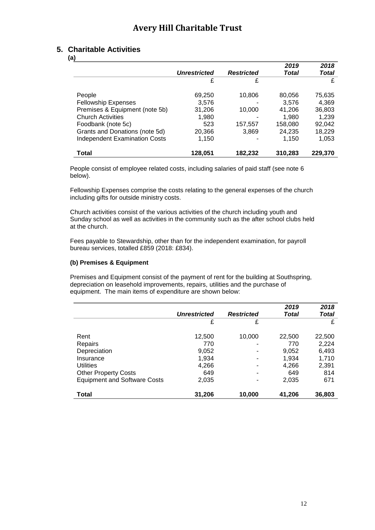#### **5. Charitable Activities**

**(a)**

| ,                                    |                     |                   | 2019    | 2018    |
|--------------------------------------|---------------------|-------------------|---------|---------|
|                                      | <b>Unrestricted</b> | <b>Restricted</b> | Total   | Total   |
|                                      | £                   | £                 |         | £       |
|                                      |                     |                   |         |         |
| People                               | 69,250              | 10,806            | 80,056  | 75,635  |
| <b>Fellowship Expenses</b>           | 3,576               |                   | 3.576   | 4,369   |
| Premises & Equipment (note 5b)       | 31,206              | 10,000            | 41,206  | 36,803  |
| <b>Church Activities</b>             | 1,980               |                   | 1,980   | 1,239   |
| Foodbank (note 5c)                   | 523                 | 157,557           | 158,080 | 92,042  |
| Grants and Donations (note 5d)       | 20,366              | 3,869             | 24,235  | 18,229  |
| <b>Independent Examination Costs</b> | 1,150               |                   | 1,150   | 1,053   |
|                                      |                     |                   |         |         |
| Total                                | 128,051             | 182,232           | 310,283 | 229,370 |

People consist of employee related costs, including salaries of paid staff (see note 6 below).

Fellowship Expenses comprise the costs relating to the general expenses of the church including gifts for outside ministry costs.

Church activities consist of the various activities of the church including youth and Sunday school as well as activities in the community such as the after school clubs held at the church.

Fees payable to Stewardship, other than for the independent examination, for payroll bureau services, totalled £859 (2018: £834).

#### **(b) Premises & Equipment**

Premises and Equipment consist of the payment of rent for the building at Southspring, depreciation on leasehold improvements, repairs, utilities and the purchase of equipment. The main items of expenditure are shown below:

|                                     |                     |                   | 2019   | 2018   |
|-------------------------------------|---------------------|-------------------|--------|--------|
|                                     | <b>Unrestricted</b> | <b>Restricted</b> | Total  | Total  |
|                                     | £                   | £                 |        | £      |
|                                     |                     |                   |        |        |
| Rent                                | 12,500              | 10,000            | 22,500 | 22,500 |
| Repairs                             | 770                 |                   | 770    | 2,224  |
| Depreciation                        | 9,052               |                   | 9,052  | 6,493  |
| Insurance                           | 1,934               | -                 | 1,934  | 1,710  |
| <b>Utilities</b>                    | 4,266               |                   | 4,266  | 2,391  |
| <b>Other Property Costs</b>         | 649                 |                   | 649    | 814    |
| <b>Equipment and Software Costs</b> | 2,035               |                   | 2,035  | 671    |
|                                     |                     |                   |        |        |
| Total                               | 31,206              | 10,000            | 41,206 | 36,803 |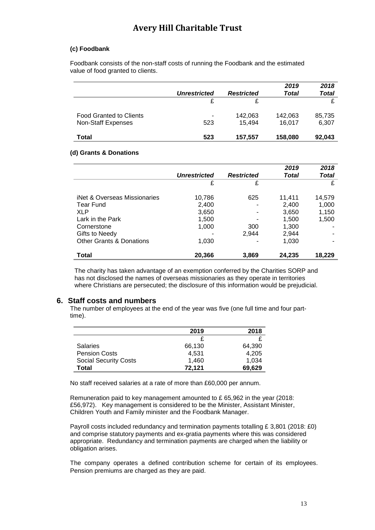#### **(c) Foodbank**

Foodbank consists of the non-staff costs of running the Foodbank and the estimated value of food granted to clients.

|                                |                     |                   | 2019    | 2018   |
|--------------------------------|---------------------|-------------------|---------|--------|
|                                | <b>Unrestricted</b> | <b>Restricted</b> | Total   | Total  |
|                                |                     | £                 |         |        |
| <b>Food Granted to Clients</b> | -                   | 142,063           | 142,063 | 85,735 |
| Non-Staff Expenses             | 523                 | 15.494            | 16.017  | 6,307  |
| Total                          | 523                 | 157,557           | 158,080 | 92,043 |

#### **(d) Grants & Donations**

|                                     |                     |                   | 2019   | 2018   |
|-------------------------------------|---------------------|-------------------|--------|--------|
|                                     | <b>Unrestricted</b> | <b>Restricted</b> | Total  | Total  |
|                                     | £                   | £                 |        | £      |
|                                     |                     |                   |        |        |
| iNet & Overseas Missionaries        | 10,786              | 625               | 11,411 | 14,579 |
| <b>Tear Fund</b>                    | 2,400               |                   | 2,400  | 1,000  |
| <b>XLP</b>                          | 3,650               |                   | 3,650  | 1,150  |
| Lark in the Park                    | 1,500               |                   | 1,500  | 1,500  |
| Cornerstone                         | 1,000               | 300               | 1,300  |        |
| Gifts to Needy                      |                     | 2.944             | 2,944  |        |
| <b>Other Grants &amp; Donations</b> | 1,030               |                   | 1,030  |        |
| Total                               | 20,366              | 3,869             | 24,235 | 18,229 |

The charity has taken advantage of an exemption conferred by the Charities SORP and has not disclosed the names of overseas missionaries as they operate in territories where Christians are persecuted; the disclosure of this information would be prejudicial.

#### **6. Staff costs and numbers**

The number of employees at the end of the year was five (one full time and four parttime).

|                              | 2019   | 2018   |
|------------------------------|--------|--------|
|                              |        |        |
| <b>Salaries</b>              | 66,130 | 64.390 |
| <b>Pension Costs</b>         | 4.531  | 4.205  |
| <b>Social Security Costs</b> | 1,460  | 1.034  |
| <b>Total</b>                 | 72,121 | 69,629 |

No staff received salaries at a rate of more than £60,000 per annum.

Remuneration paid to key management amounted to £ 65,962 in the year (2018: £56,972). Key management is considered to be the Minister, Assistant Minister, Children Youth and Family minister and the Foodbank Manager.

Payroll costs included redundancy and termination payments totalling £ 3,801 (2018: £0) and comprise statutory payments and ex-gratia payments where this was considered appropriate. Redundancy and termination payments are charged when the liability or obligation arises.

The company operates a defined contribution scheme for certain of its employees. Pension premiums are charged as they are paid.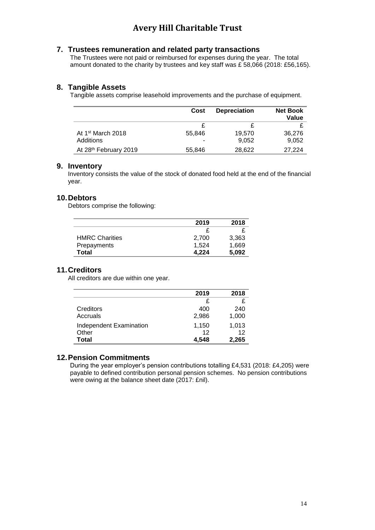#### **7. Trustees remuneration and related party transactions**

The Trustees were not paid or reimbursed for expenses during the year. The total amount donated to the charity by trustees and key staff was £ 58,066 (2018: £56,165).

#### **8. Tangible Assets**

Tangible assets comprise leasehold improvements and the purchase of equipment.

|                               | Cost   | <b>Depreciation</b> | <b>Net Book</b><br>Value |
|-------------------------------|--------|---------------------|--------------------------|
|                               |        |                     |                          |
| At 1 <sup>st</sup> March 2018 | 55.846 | 19,570              | 36,276                   |
| Additions                     | -      | 9.052               | 9,052                    |
| At 28th February 2019         | 55,846 | 28,622              | 27.224                   |

#### **9. Inventory**

Inventory consists the value of the stock of donated food held at the end of the financial year.

#### **10.Debtors**

Debtors comprise the following:

|                       | 2019  | 2018  |
|-----------------------|-------|-------|
|                       |       |       |
| <b>HMRC Charities</b> | 2.700 | 3,363 |
| Prepayments           | 1,524 | 1,669 |
| <b>Total</b>          | 4.224 | 5,092 |

#### **11.Creditors**

All creditors are due within one year.

|                         | 2019  | 2018  |
|-------------------------|-------|-------|
|                         | £     |       |
| Creditors               | 400   | 240   |
| Accruals                | 2,986 | 1,000 |
| Independent Examination | 1,150 | 1,013 |
| Other                   | 12    | 12    |
| Total                   | 4,548 | 2,265 |

#### **12.Pension Commitments**

During the year employer's pension contributions totalling £4,531 (2018: £4,205) were payable to defined contribution personal pension schemes. No pension contributions were owing at the balance sheet date (2017: £nil).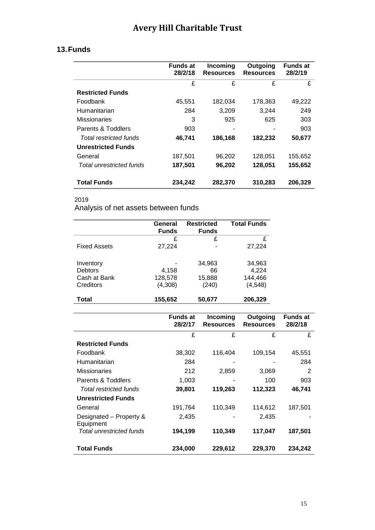### **13.Funds**

|                           | <b>Funds at</b><br>28/2/18 | Incoming<br><b>Resources</b> | Outgoing<br><b>Resources</b> | Funds at<br>28/2/19 |
|---------------------------|----------------------------|------------------------------|------------------------------|---------------------|
|                           | £                          | £                            | £                            | £                   |
| <b>Restricted Funds</b>   |                            |                              |                              |                     |
| <b>Foodbank</b>           | 45,551                     | 182,034                      | 178.363                      | 49,222              |
| Humanitarian              | 284                        | 3,209                        | 3.244                        | 249                 |
| Missionaries              | 3                          | 925                          | 625                          | 303                 |
| Parents & Toddlers        | 903                        |                              |                              | 903                 |
| Total restricted funds    | 46,741                     | 186,168                      | 182,232                      | 50,677              |
| <b>Unrestricted Funds</b> |                            |                              |                              |                     |
| General                   | 187,501                    | 96,202                       | 128,051                      | 155,652             |
| Total unrestricted funds  | 187,501                    | 96,202                       | 128,051                      | 155,652             |
| <b>Total Funds</b>        | 234,242                    | 282,370                      | 310,283                      | 206,329             |

### 2019

Analysis of net assets between funds

|                     | General<br><b>Funds</b> | <b>Restricted</b><br><b>Funds</b> | <b>Total Funds</b> |
|---------------------|-------------------------|-----------------------------------|--------------------|
|                     | £                       | £                                 | £                  |
| <b>Fixed Assets</b> | 27,224                  |                                   | 27,224             |
| Inventory           |                         | 34,963                            | 34,963             |
| <b>Debtors</b>      | 4,158                   | 66                                | 4,224              |
| Cash at Bank        | 128,578                 | 15,888                            | 144,466            |
| Creditors           | (4,308)                 | (240)                             | (4, 548)           |
| Total               | 155,652                 | 50,677                            | 206,329            |

|                                      | <b>Funds at</b><br>28/2/17 | Incoming<br><b>Resources</b> | Outgoing<br><b>Resources</b> | <b>Funds at</b><br>28/2/18 |
|--------------------------------------|----------------------------|------------------------------|------------------------------|----------------------------|
|                                      | £                          | £                            | £                            | £                          |
| <b>Restricted Funds</b>              |                            |                              |                              |                            |
| Foodbank                             | 38,302                     | 116,404                      | 109,154                      | 45,551                     |
| Humanitarian                         | 284                        |                              |                              | 284                        |
| <b>Missionaries</b>                  | 212                        | 2,859                        | 3,069                        | 2                          |
| Parents & Toddlers                   | 1,003                      |                              | 100                          | 903                        |
| Total restricted funds               | 39,801                     | 119,263                      | 112,323                      | 46.741                     |
| <b>Unrestricted Funds</b>            |                            |                              |                              |                            |
| General                              | 191,764                    | 110,349                      | 114,612                      | 187,501                    |
| Designated – Property &<br>Equipment | 2,435                      |                              | 2,435                        |                            |
| <b>Total unrestricted funds</b>      | 194,199                    | 110,349                      | 117,047                      | 187,501                    |
| <b>Total Funds</b>                   | 234,000                    | 229,612                      | 229,370                      | 234,242                    |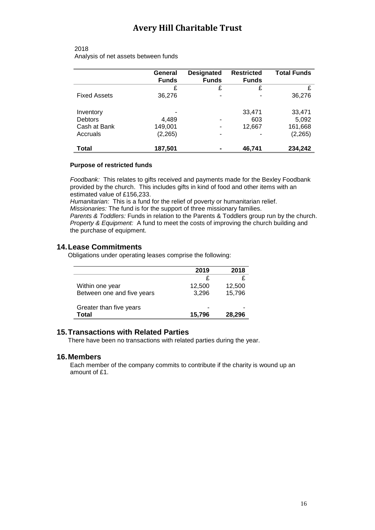#### 2018 Analysis of net assets between funds

|                     | General<br><b>Funds</b> | <b>Designated</b><br><b>Funds</b> | <b>Restricted</b><br><b>Funds</b> | <b>Total Funds</b> |
|---------------------|-------------------------|-----------------------------------|-----------------------------------|--------------------|
|                     | £                       | £                                 | £                                 | £                  |
| <b>Fixed Assets</b> | 36,276                  | ٠                                 |                                   | 36,276             |
| Inventory           |                         |                                   | 33,471                            | 33,471             |
| Debtors             | 4,489                   | -                                 | 603                               | 5,092              |
| Cash at Bank        | 149,001                 | $\blacksquare$                    | 12,667                            | 161,668            |
| Accruals            | (2, 265)                | -                                 |                                   | (2, 265)           |
| Total               | 187,501                 |                                   | 46,741                            | 234,242            |

#### **Purpose of restricted funds**

*Foodbank:* This relates to gifts received and payments made for the Bexley Foodbank provided by the church. This includes gifts in kind of food and other items with an estimated value of £156,233.

*Humanitarian:* This is a fund for the relief of poverty or humanitarian relief. *Missionaries:* The fund is for the support of three missionary families.

*Parents & Toddlers:* Funds in relation to the Parents & Toddlers group run by the church. *Property & Equipment:* A fund to meet the costs of improving the church building and the purchase of equipment.

#### **14.Lease Commitments**

Obligations under operating leases comprise the following:

|                                  | 2019   | 2018   |
|----------------------------------|--------|--------|
|                                  | £      |        |
| Within one year                  | 12,500 | 12,500 |
| Between one and five years       | 3,296  | 15,796 |
| Greater than five years<br>Total | 15,796 | 28,296 |

#### **15.Transactions with Related Parties**

There have been no transactions with related parties during the year.

#### **16.Members**

Each member of the company commits to contribute if the charity is wound up an amount of £1.